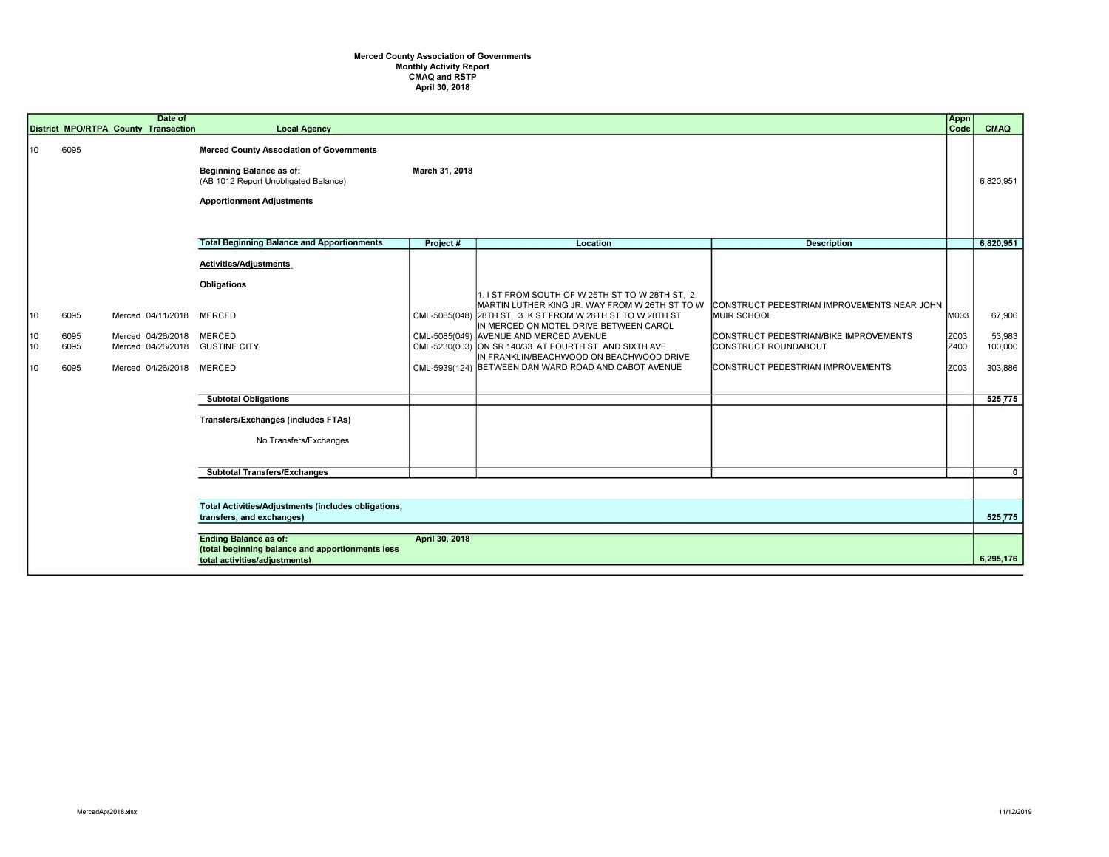## Merced County Association of Governments Monthly Activity Report CMAQ and RSTP April 30, 2018

|                      |                              | Date of<br>District MPO/RTPA County Transaction                                               | <b>Local Agency</b>                                                                                                                                            |                |                                                                                                                                                                                                                                                                                                                                                                                                                    |                                                                                                                                                                          | Appn<br>Code                 | CMAQ                                              |
|----------------------|------------------------------|-----------------------------------------------------------------------------------------------|----------------------------------------------------------------------------------------------------------------------------------------------------------------|----------------|--------------------------------------------------------------------------------------------------------------------------------------------------------------------------------------------------------------------------------------------------------------------------------------------------------------------------------------------------------------------------------------------------------------------|--------------------------------------------------------------------------------------------------------------------------------------------------------------------------|------------------------------|---------------------------------------------------|
| 10                   | 6095                         |                                                                                               | <b>Merced County Association of Governments</b><br><b>Beginning Balance as of:</b><br>(AB 1012 Report Unobligated Balance)<br><b>Apportionment Adjustments</b> | March 31, 2018 |                                                                                                                                                                                                                                                                                                                                                                                                                    |                                                                                                                                                                          |                              | 6,820,951                                         |
|                      |                              |                                                                                               | <b>Total Beginning Balance and Apportionments</b>                                                                                                              | Project#       | Location                                                                                                                                                                                                                                                                                                                                                                                                           | <b>Description</b>                                                                                                                                                       |                              | 6,820,951                                         |
| 10<br>10<br>10<br>10 | 6095<br>6095<br>6095<br>6095 | Merced 04/11/2018<br>Merced 04/26/2018<br>Merced 04/26/2018 GUSTINE CITY<br>Merced 04/26/2018 | Activities/Adjustments<br><b>Obligations</b><br><b>MERCED</b><br><b>MERCED</b><br><b>MERCED</b><br><b>Subtotal Obligations</b>                                 |                | 1. I ST FROM SOUTH OF W 25TH ST TO W 28TH ST, 2.<br>MARTIN LUTHER KING JR. WAY FROM W 26TH ST TO W<br>CML-5085(048) 28TH ST. 3. K ST FROM W 26TH ST TO W 28TH ST<br>IN MERCED ON MOTEL DRIVE BETWEEN CAROL<br>CML-5085(049) AVENUE AND MERCED AVENUE<br>CML-5230(003) ON SR 140/33 AT FOURTH ST. AND SIXTH AVE<br>IN FRANKLIN/BEACHWOOD ON BEACHWOOD DRIVE<br>CML-5939(124) BETWEEN DAN WARD ROAD AND CABOT AVENUE | CONSTRUCT PEDESTRIAN IMPROVEMENTS NEAR JOHN<br>MUIR SCHOOL<br>CONSTRUCT PEDESTRIAN/BIKE IMPROVEMENTS<br><b>CONSTRUCT ROUNDABOUT</b><br>CONSTRUCT PEDESTRIAN IMPROVEMENTS | M003<br>Z003<br>Z400<br>Z003 | 67,906<br>53,983<br>100,000<br>303,886<br>525,775 |
|                      |                              |                                                                                               | <b>Transfers/Exchanges (includes FTAs)</b><br>No Transfers/Exchanges                                                                                           |                |                                                                                                                                                                                                                                                                                                                                                                                                                    |                                                                                                                                                                          |                              |                                                   |
|                      |                              |                                                                                               | <b>Subtotal Transfers/Exchanges</b>                                                                                                                            |                |                                                                                                                                                                                                                                                                                                                                                                                                                    |                                                                                                                                                                          |                              | $\Omega$                                          |
|                      |                              |                                                                                               |                                                                                                                                                                |                |                                                                                                                                                                                                                                                                                                                                                                                                                    |                                                                                                                                                                          |                              |                                                   |
|                      |                              |                                                                                               | Total Activities/Adjustments (includes obligations,<br>transfers, and exchanges)                                                                               |                |                                                                                                                                                                                                                                                                                                                                                                                                                    |                                                                                                                                                                          |                              | 525,775                                           |
|                      |                              |                                                                                               | <b>Ending Balance as of:</b><br>April 30, 2018<br>(total beginning balance and apportionments less<br>total activities/adjustments)                            |                |                                                                                                                                                                                                                                                                                                                                                                                                                    |                                                                                                                                                                          |                              | 6,295,176                                         |